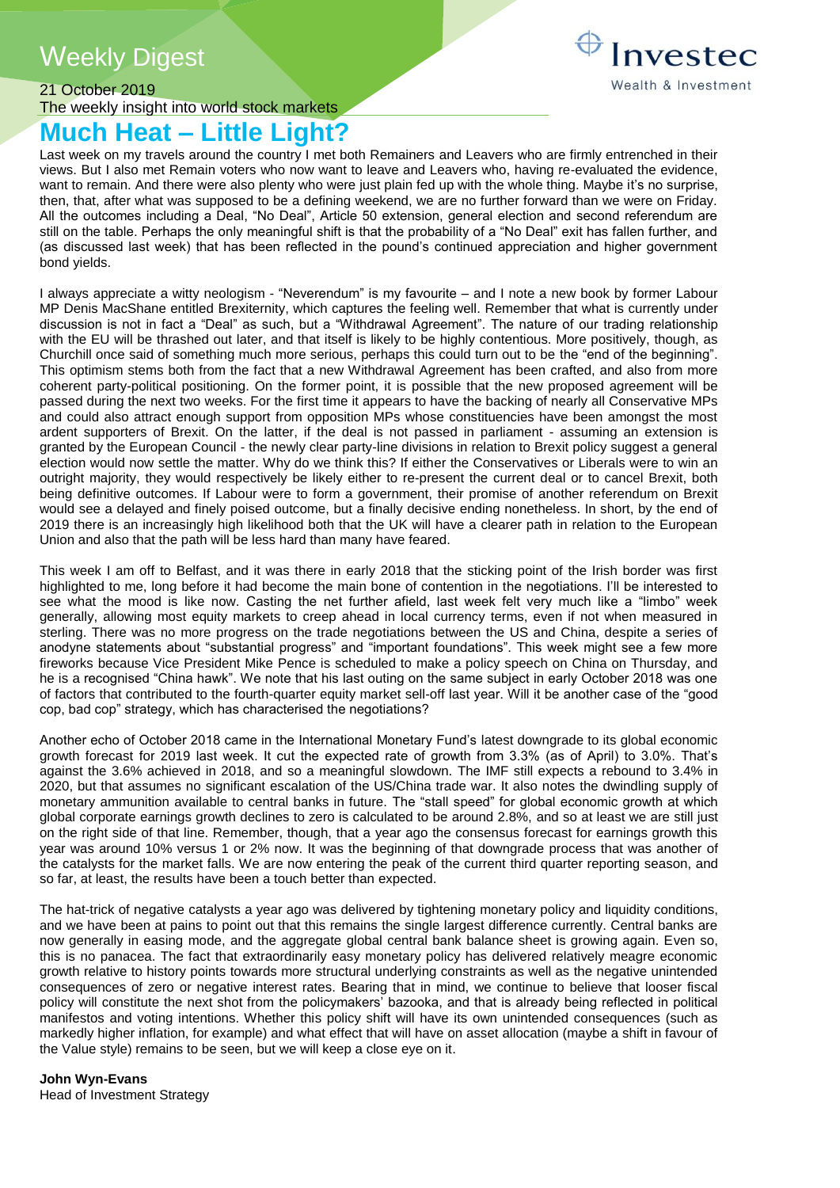# **Weekly Digest**



### 21 October 2019 The weekly insight into world stock markets

# **Much Heat – Little Light?**

Last week on my travels around the country I met both Remainers and Leavers who are firmly entrenched in their views. But I also met Remain voters who now want to leave and Leavers who, having re-evaluated the evidence, want to remain. And there were also plenty who were just plain fed up with the whole thing. Maybe it's no surprise, then, that, after what was supposed to be a defining weekend, we are no further forward than we were on Friday. All the outcomes including a Deal, "No Deal", Article 50 extension, general election and second referendum are still on the table. Perhaps the only meaningful shift is that the probability of a "No Deal" exit has fallen further, and (as discussed last week) that has been reflected in the pound's continued appreciation and higher government bond yields.

I always appreciate a witty neologism - "Neverendum" is my favourite – and I note a new book by former Labour MP Denis MacShane entitled Brexiternity, which captures the feeling well. Remember that what is currently under discussion is not in fact a "Deal" as such, but a "Withdrawal Agreement". The nature of our trading relationship with the EU will be thrashed out later, and that itself is likely to be highly contentious. More positively, though, as Churchill once said of something much more serious, perhaps this could turn out to be the "end of the beginning". This optimism stems both from the fact that a new Withdrawal Agreement has been crafted, and also from more coherent party-political positioning. On the former point, it is possible that the new proposed agreement will be passed during the next two weeks. For the first time it appears to have the backing of nearly all Conservative MPs and could also attract enough support from opposition MPs whose constituencies have been amongst the most ardent supporters of Brexit. On the latter, if the deal is not passed in parliament - assuming an extension is granted by the European Council - the newly clear party-line divisions in relation to Brexit policy suggest a general election would now settle the matter. Why do we think this? If either the Conservatives or Liberals were to win an outright majority, they would respectively be likely either to re-present the current deal or to cancel Brexit, both being definitive outcomes. If Labour were to form a government, their promise of another referendum on Brexit would see a delayed and finely poised outcome, but a finally decisive ending nonetheless. In short, by the end of 2019 there is an increasingly high likelihood both that the UK will have a clearer path in relation to the European Union and also that the path will be less hard than many have feared.

This week I am off to Belfast, and it was there in early 2018 that the sticking point of the Irish border was first highlighted to me, long before it had become the main bone of contention in the negotiations. I'll be interested to see what the mood is like now. Casting the net further afield, last week felt very much like a "limbo" week generally, allowing most equity markets to creep ahead in local currency terms, even if not when measured in sterling. There was no more progress on the trade negotiations between the US and China, despite a series of anodyne statements about "substantial progress" and "important foundations". This week might see a few more fireworks because Vice President Mike Pence is scheduled to make a policy speech on China on Thursday, and he is a recognised "China hawk". We note that his last outing on the same subject in early October 2018 was one of factors that contributed to the fourth-quarter equity market sell-off last year. Will it be another case of the "good cop, bad cop" strategy, which has characterised the negotiations?

Another echo of October 2018 came in the International Monetary Fund's latest downgrade to its global economic growth forecast for 2019 last week. It cut the expected rate of growth from 3.3% (as of April) to 3.0%. That's against the 3.6% achieved in 2018, and so a meaningful slowdown. The IMF still expects a rebound to 3.4% in 2020, but that assumes no significant escalation of the US/China trade war. It also notes the dwindling supply of monetary ammunition available to central banks in future. The "stall speed" for global economic growth at which global corporate earnings growth declines to zero is calculated to be around 2.8%, and so at least we are still just on the right side of that line. Remember, though, that a year ago the consensus forecast for earnings growth this year was around 10% versus 1 or 2% now. It was the beginning of that downgrade process that was another of the catalysts for the market falls. We are now entering the peak of the current third quarter reporting season, and so far, at least, the results have been a touch better than expected.

The hat-trick of negative catalysts a year ago was delivered by tightening monetary policy and liquidity conditions, and we have been at pains to point out that this remains the single largest difference currently. Central banks are now generally in easing mode, and the aggregate global central bank balance sheet is growing again. Even so, this is no panacea. The fact that extraordinarily easy monetary policy has delivered relatively meagre economic growth relative to history points towards more structural underlying constraints as well as the negative unintended consequences of zero or negative interest rates. Bearing that in mind, we continue to believe that looser fiscal policy will constitute the next shot from the policymakers' bazooka, and that is already being reflected in political manifestos and voting intentions. Whether this policy shift will have its own unintended consequences (such as markedly higher inflation, for example) and what effect that will have on asset allocation (maybe a shift in favour of the Value style) remains to be seen, but we will keep a close eye on it.

**John Wyn-Evans** Head of Investment Strategy